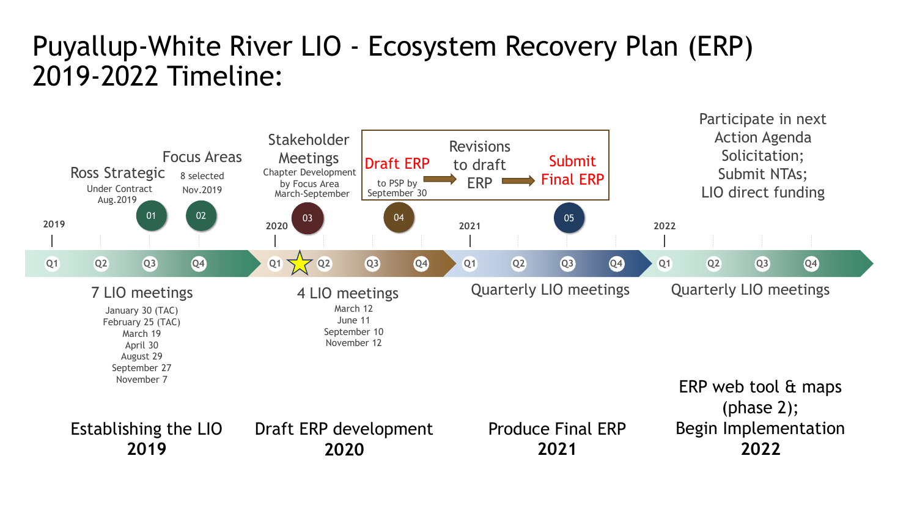## Puyallup-White River LIO - Ecosystem Recovery Plan (ERP) 2019-2022 Timeline: